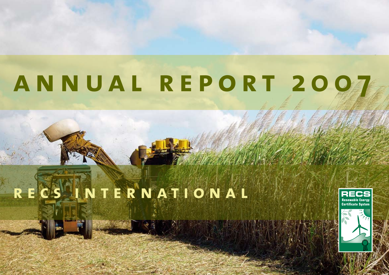# **[annual report](#page-1-0) 2007**

# **recs international**

31 2



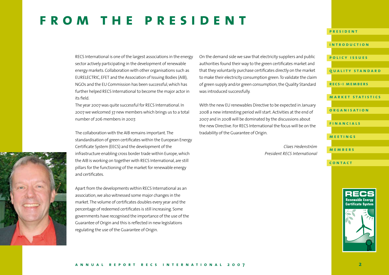### <span id="page-1-0"></span>**from the president**

RECS International is one of the largest associations in the energy sector actively participating in the development of renewable energy markets. Collaboration with other organisations such as EURELECTRIC, EFET and the Association of Issuing Bodies (AIB), NGOs and the EU Commission has been successful, which has further helped RECS International to become the major actor in its field.

The year 2007 was quite successful for RECS International. In 2007 we welcomed 37 new members which brings us to a total number of 206 members in 2007.

The collaboration with the AIB remains important. The standardisation of green certificates within the European Energy Certificate System (EECS) and the development of the infrastructure enabling cross border trade within Europe, which the AIB is working on together with RECS International, are still pillars for the functioning of the market for renewable energy and certificates.

Apart from the developments within RECS International as an association, we also witnessed some major changes in the market. The volume of certificates doubles every year and the percentage of redeemed certificates is still increasing. Some governments have recognised the importance of the use of the Guarantee of Origin and this is reflected in new legislations regulating the use of the Guarantee of Origin.

On the demand side we saw that electricity suppliers and public authorities found their way to the green certificates market and that they voluntarily purchase certificates directly on the market to make their electricity consumption green. To validate the claim of green supply and/or green consumption, the Quality Standard was introduced successfully.

With the new EU renewables Directive to be expected in January 2008 a new interesting period will start. Activities at the end of 2007 and in 2008 will be dominated by the discussions about the new Directive. For RECS International the focus will be on the tradability of the Guarantee of Origin.

> *Claes Hedenström President RECS International*

### **[introduction](#page-2-0) [policy issue](#page-3-0) s [quality standar](#page-5-0) d [recs-i members](#page-6-0) [market statistic](#page-7-0) s [organisatio](#page-9-0) n [financial](#page-11-0) s [meeting](#page-12-0) s [member](#page-13-0) s [contac](#page-15-0) t**

**president**



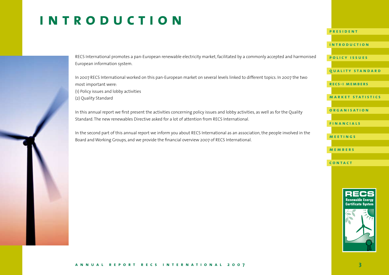# <span id="page-2-0"></span>**introduction**

RECS International promotes a pan-European renewable electricity market, facilitated by a commonly accepted and harmonised European information system.

In 2007 RECS International worked on this pan-European market on several levels linked to different topics. In 2007 the two most important were: (1) Policy issues and lobby activities (2) Quality Standard

In this annual report we first present the activities concerning policy issues and lobby activities, as well as for the Quality Standard. The new renewables Directive asked for a lot of attention from RECS International.

In the second part of this annual report we inform you about RECS International as an association, the people involved in the Board and Working Groups, and we provide the financial overview 2007 of RECS International.

**[policy issue](#page-3-0) s**

**[quality standar](#page-5-0) d**

**[recs-i members](#page-6-0)**

**[market statistic](#page-7-0) s**

**[organisatio](#page-9-0) n**

**[financial](#page-11-0) s**

**[meeting](#page-12-0) s**

**[member](#page-13-0) s**

**[contac](#page-15-0) t**

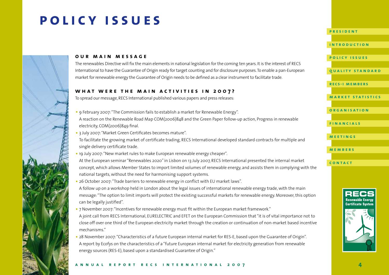# <span id="page-3-0"></span>**policy issues**



#### **our main message**

The renewables Directive will fix the main elements in national legislation for the coming ten years. It is the interest of RECS International to have the Guarantee of Origin ready for target counting and for disclosure purposes. To enable a pan-European market for renewable energy the Guarantee of Origin needs to be defined as a clear instrument to facilitate trade.

#### **what were the main activities in 2007 ?**

To spread our message, RECS International published various papers and press releases:

- 9 February 2007: "The Commission fails to establish a market for Renewable Energy". A reaction on the Renewable Road Map COM(2006)848 and the Green Paper follow-up action, Progress in renewable electricity, COM(2006)849 final.
- 3 July 2007: "Market Green Certificates becomes mature".
- To facilitate the growing market of certificate trading, RECS International developed standard contracts for multiple and single delivery certificate trade.
- 19 July 2007: "New market rules to make European renewable energy cheaper".

At the European seminar "Renewables 2020" in Lisbon on 13 July 2007, RECS International presented the internal market concept, which allows Member States to import limited volumes of renewable energy, and assists them in complying with the national targets, without the need for harmonising support systems.

- 26 October 2007: "Trade barriers to renewable energy in conflict with EU market laws". A follow up on a workshop held in London about the legal issues of international renewable energy trade, with the main message: "The option to limit imports will protect the existing successful markets for renewable energy. Moreover, this option can be legally justified".
- 7 November 2007: "Incentives for renewable energy must fit within the European market framework." A joint call from RECS International, EURELECTRIC and EFET on the European Commission that "it is of vital importance not to close off over one third of the European electricity market through the creation or continuation of non-market based incentive mechanisms."
- 28 November 2007: "Characteristics of a future European internal market for RES-E, based upon the Guarantee of Origin". A report by Ecofys on the characteristics of a "future European internal market for electricity generation from renewable energy sources (RES-E), based upon a standardised Guarantee of Origin."

#### **[president](#page-1-0)**

**[introduction](#page-2-0)**

#### **policy issue s**

**[quality standar](#page-5-0) d**

**[recs-i members](#page-6-0)**

**[market statistic](#page-7-0) s**

#### **[organisatio](#page-9-0) n**

**[financial](#page-11-0) s**

**[meeting](#page-12-0) s**

**[member](#page-13-0) s**

**[contac](#page-15-0) t**



#### **annual report recs international 2007**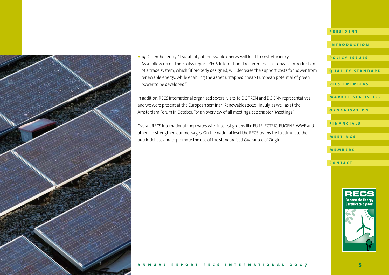

•19 December 2007: "Tradability of renewable energy will lead to cost efficiency". As a follow up on the Ecofys report, RECS International recommends a stepwise introduction of a trade system, which "if properly designed, will decrease the support costs for power from renewable energy, while enabling the as yet untapped cheap European potential of green power to be developed."

In addition, RECS International organised several visits to DG TREN and DG ENV representatives and we were present at the European seminar "Renewables 2020" in July, as well as at the Amsterdam Forum in October. For an overview of all meetings, see chapter "Meetings".

Overall, RECS International cooperates with interest groups like EURELECTRIC, EUGENE, WWF and others to strengthen our messages. On the national level the RECS teams try to stimulate the public debate and to promote the use of the standardised Guarantee of Origin.



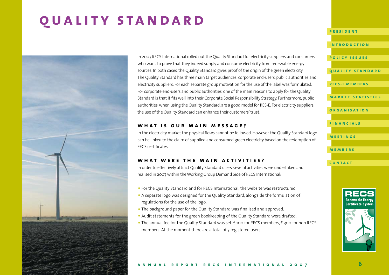# <span id="page-5-0"></span>**quality standard**



In 2007 RECS International rolled out the Quality Standard for electricity suppliers and consumers who want to prove that they indeed supply and consume electricity from renewable energy sources. In both cases, the Quality Standard gives proof of the origin of the green electricity. The Quality Standard has three main target audiences: corporate end-users, public authorities and electricity suppliers. For each separate group motivation for the use of the label was formulated. For corporate end-users and public authorities, one of the main reasons to apply for the Quality Standard is that it fits well into their Corporate Social Responsibility Strategy. Furthermore, public authorities, when using the Quality Standard, are a good model for RES-E. For electricity suppliers, the use of the Quality Standard can enhance their customers' trust.

#### **what is our main message?**

In the electricity market the physical flows cannot be followed. However, the Quality Standard logo can be linked to the claim of supplied and consumed green electricity based on the redemption of EECS certificates.

#### **what were the main activities?**

In order to effectively attract Quality Standard users, several activities were undertaken and realised in 2007 within the Working Group Demand Side of RECS International:

- For the Quality Standard and for RECS International, the website was restructured.
- A separate logo was designed for the Quality Standard, alongside the formulation of regulations for the use of the logo.
- The background paper for the Quality Standard was finalised and approved.
- Audit statements for the green bookkeeping of the Quality Standard were drafted.
- The annual fee for the Ouality Standard was set:  $\epsilon$  100 for RECS members,  $\epsilon$  300 for non RECS members. At the moment there are a total of 7 registered users.

#### **[president](#page-1-0)**

#### **[introduction](#page-2-0)**

**[policy issue](#page-3-0) s**

#### **quality standar d**

**[recs-i members](#page-6-0)**

#### **[market statistic](#page-7-0) s**

**[organisatio](#page-9-0) n**

#### **[financial](#page-11-0) s**

**[meeting](#page-12-0) s**

**[member](#page-13-0) s**

**[contac](#page-15-0) t**

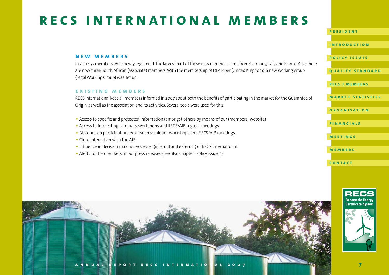# <span id="page-6-0"></span>**recs international members**

#### **new members**

In 2007, 37 members were newly registered. The largest part of these new members come from Germany, Italy and France. Also, there are now three South African (associate) members. With the membership of DLA Piper (United Kingdom), a new working group (Legal Working Group) was set up.

#### **existing members**

RECS International kept all members informed in 2007 about both the benefits of participating in the market for the Guarantee of Origin, as well as the association and its activities. Several tools were used for this:

- Access to specific and protected information (amongst others by means of our (members) website)
- Access to interesting seminars, workshops and RECS/AIB regular meetings
- •Discount on participation fee of such seminars, workshops and RECS/AIB meetings
- Close interaction with the AIB
- •Influence in decision making processes (internal and external) of RECS International
- Alerts to the members about press releases (see also chapter "Policy issues")



**[president](#page-1-0)**

**[introduction](#page-2-0)**

#### **[policy issue](#page-3-0) s**

**[quality standar](#page-5-0) d**

**recs-i members**

**[market statistic](#page-7-0) s**

**[organisatio](#page-9-0) n**

**[financial](#page-11-0) s**

**[meeting](#page-12-0) s**

**[member](#page-13-0) s**

**[contac](#page-15-0) t**

**Certificate Syster** 



**7**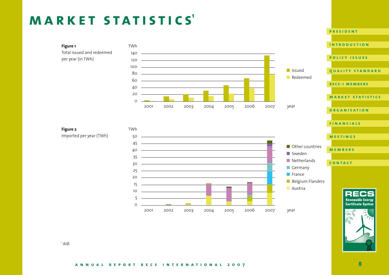# <span id="page-7-0"></span>**market statistics<sup>1</sup>**

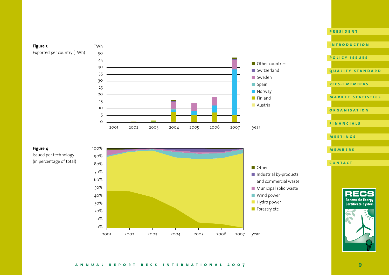#### **Figure 3** Exported per country (TWh)

TWh





#### **Figure 4**

Issued per technology (in percentage of total)



### **[introduction](#page-2-0) [policy issue](#page-3-0) s [quality standar](#page-5-0) d [recs-i members](#page-6-0) [market statistic](#page-7-0) s [organisatio](#page-9-0) n [financial](#page-11-0) s [meeting](#page-12-0) s [member](#page-13-0) s [contac](#page-15-0) t**

**[president](#page-1-0)**



#### **annual report recs international 2007 9**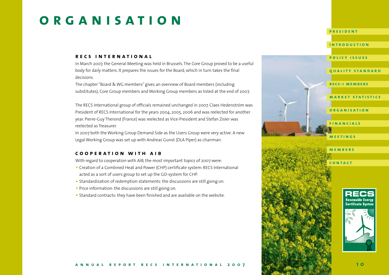# <span id="page-9-0"></span>**organisation**

#### **recs international**

In March 2007, the General Meeting was held in Brussels. The Core Group proved to be a useful body for daily matters. It prepares the issues for the Board, which in turn takes the final decisions.

The chapter "Board & WG members" gives an overview of Board members (including substitutes), Core Group members and Working Group members as listed at the end of 2007.

The RECS International group of officials remained unchanged in 2007. Claes Hedenström was President of RECS International for the years 2004, 2005, 2006 and was reelected for another year. Pierre-Guy Therond (France) was reelected as Vice-President and Stefan Zisler was reelected as Treasurer.

In 2007 both the Working Group Demand Side as the Users Group were very active. A new Legal Working Group was set up with Andreas Gunst (DLA Piper) as chairman.

#### **cooperation with aib**

With regard to cooperation with AIB, the most important topics of 2007 were:

- Creation of a Combined Heat and Power (CHP) certificate system: RECS International acted as a sort of users group to set up the GO-system for CHP.
- Standardization of redemption statements: the discussions are still going on.
- Price information: the discussions are still going on.
- Standard contracts: they have been finished and are available on the website.



**[president](#page-1-0)**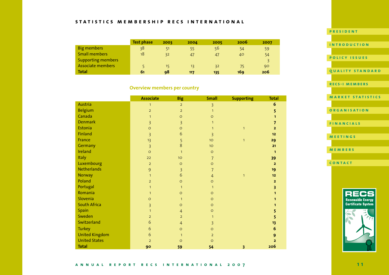#### **statistics membership recs international**

|                           | <b>Test phase</b> | 2003 | 2004 | 2005 | 2006 | 2007 |
|---------------------------|-------------------|------|------|------|------|------|
| <b>Big members</b>        | 38                | 51   | 55   | 56   | 54   | 59   |
| <b>Small members</b>      | 18                | 32   | 47   | 47   | 40   | 54   |
| <b>Supporting members</b> |                   |      |      |      |      |      |
| Associate members         |                   | 15   | 13   | 32   | -75  | 90   |
| <b>Total</b>              | 61                | 98   | 117  | 135  | 169  | 206  |

#### **Overview members per country**

|                       | <b>Associate</b> | <b>Big</b>     | <b>Small</b>    | <b>Supporting</b>       | <b>Total</b>            |
|-----------------------|------------------|----------------|-----------------|-------------------------|-------------------------|
| Austria               | $\mathbf{1}$     | $\overline{2}$ | 3               |                         | $\boldsymbol{6}$        |
| <b>Belgium</b>        | $\overline{2}$   | $\overline{2}$ | $\mathbf{1}$    |                         | 5                       |
| Canada                | $\mathbf{1}$     | $\circ$        | $\circ$         |                         | 1                       |
| <b>Denmark</b>        | 3                | $\overline{3}$ | $\mathbf{1}$    |                         | $\overline{\mathbf{z}}$ |
| Estonia               | $\circ$          | $\circ$        | $\mathbf{1}$    | $\mathbf{1}$            | $\overline{2}$          |
| Finland               | 3                | 6              | 3               |                         | 12                      |
| France                | 13               | 5              | 10              | $\mathbf{1}$            | 29                      |
| Germany               | $\overline{3}$   | 8              | 10 <sup>°</sup> |                         | 21                      |
| Ireland               | $\circ$          | $\mathbf{1}$   | $\circ$         |                         | $\mathbf{1}$            |
| Italy                 | 22               | 10             | $\overline{7}$  |                         | 39                      |
| Luxembourg            | $\overline{2}$   | $\circ$        | $\circ$         |                         | $\overline{2}$          |
| <b>Netherlands</b>    | 9                | 3              | $\overline{7}$  |                         | 19                      |
| <b>Norway</b>         | $\mathbf{1}$     | 6              | $\overline{4}$  | $\mathbf{1}$            | 12                      |
| Poland                | $\overline{2}$   | $\circ$        | $\circ$         |                         | $\overline{2}$          |
| Portugal              | $\mathbf{1}$     | $\mathbf{1}$   | $\mathbf{1}$    |                         | 3                       |
| Romania               | $\mathbf{1}$     | $\circ$        | $\circ$         |                         | 1                       |
| Slovenia              | $\circ$          | $\mathbf{1}$   | $\circ$         |                         | 1                       |
| <b>South Africa</b>   | 3                | $\circ$        | $\circ$         |                         | 1.                      |
| Spain                 | $\mathbf{1}$     | $\overline{4}$ | $\circ$         |                         | 5                       |
| Sweden                | $\overline{2}$   | $\overline{2}$ | $\mathbf{1}$    |                         | 5                       |
| Switzerland           | 6                | $\overline{4}$ | $\overline{3}$  |                         | 13                      |
| <b>Turkey</b>         | 6                | $\circ$        | $\circ$         |                         | $6\phantom{1}6$         |
| <b>United Kingdom</b> | 6                | $\mathbf{1}$   | $\overline{2}$  |                         | 9                       |
| <b>United States</b>  | $\overline{2}$   | $\circ$        | $\circ$         |                         | $\overline{2}$          |
| <b>Total</b>          | 90               | 59             | 54              | $\overline{\mathbf{3}}$ | 206                     |

### **[president](#page-1-0) [introduction](#page-2-0) [policy issue](#page-3-0) s [quality standar](#page-5-0) d [recs-i members](#page-6-0) [market statistic](#page-7-0) s [organisatio](#page-9-0) n [financial](#page-11-0) s [meeting](#page-12-0) s [member](#page-13-0) s [contac](#page-15-0) t**

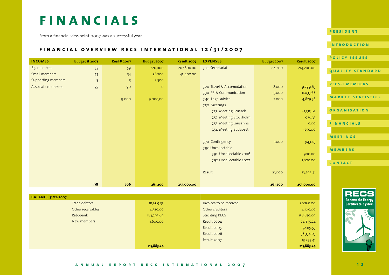## <span id="page-11-0"></span>**FINANCIALS**

From a financial viewpoint, 2007 was a successful year.

#### **financial overview recs international 12/31/2007**

|                    |                      |                    |             |             |                            |             |             | <b>POLICY ISSUES</b>     |
|--------------------|----------------------|--------------------|-------------|-------------|----------------------------|-------------|-------------|--------------------------|
| <b>INCOMES</b>     | <b>Budget # 2007</b> | <b>Real # 2007</b> | Budget 2007 | Result 2007 | <b>EXPENSES</b>            | Budget 2007 | Result 2007 |                          |
| Big members        | 55                   | 59                 | 220,000     | 207,600.00  | 7.10 Secretariat           | 214,200     | 214,200.00  | QUALITY STANDARD         |
| Small members      | 43                   | 54                 | 38,700      | 45,400.00   |                            |             |             |                          |
| Supporting members | 5                    | $\overline{3}$     | 2,500       |             |                            |             |             |                          |
| Associate members  | 75                   | 90                 | $\circ$     |             | 7.20 Travel & Accomodation | 8,000       | 9,299.65    | <b>RECS-I MEMBERS</b>    |
|                    |                      |                    |             |             | 7.30 PR & Communication    | 15,000      | 11,033.68   |                          |
|                    |                      | 9.000              | 9.000,00    |             | 7.40 Legal advice          | 2.000       | 4,829.78    | <b>MARKET STATISTICS</b> |
|                    |                      |                    |             |             | 7.50 Meetings              |             |             |                          |
|                    |                      |                    |             |             | 7.51 Meeting Brussels      |             | $-2,315.62$ | <b>ORGANISATION</b>      |
|                    |                      |                    |             |             | 7.52 Meeting Stockholm     |             | $-736.33$   |                          |
|                    |                      |                    |             |             | 7.53 Meeting Lausanne      |             | 0.00        | FINANCIALS               |
|                    |                      |                    |             |             | 7.54 Meeting Budapest      |             | $-250.00$   |                          |
|                    |                      |                    |             |             |                            |             |             | <b>MEETINGS</b>          |
|                    |                      |                    |             |             | 7.70 Contingency           | 1,000       | 943.43      |                          |
|                    |                      |                    |             |             | 7.90 Uncollectable         |             |             | <b>MEMBERS</b>           |
|                    |                      |                    |             |             | 7.91 Uncollectable 2006    |             | 900.00      |                          |
|                    |                      |                    |             |             | 7.92 Uncollectable 2007    |             | 1,800.00    | CONTACT                  |
|                    |                      |                    |             |             |                            |             |             |                          |
|                    |                      |                    |             |             | Result                     | 21,000      | 13,295.41   |                          |
|                    |                      |                    |             |             |                            |             |             |                          |
|                    | 178                  | 206                | 261,200     | 253,000.00  |                            | 261,200     | 253,000.00  |                          |

| <b>BALANCE 31/12/2007</b> |            |                         |              |
|---------------------------|------------|-------------------------|--------------|
| Trade debtors             | 18,669.55  | Invoices to be received | 30,768.00    |
| Other receivables         | 4,320.00   | Other creditors         | 4,100.00     |
| Rabobank                  | 183,293.69 | <b>Stichting RECS</b>   | 158,670.09   |
| New members               | 11,600.00  | Result 2004             | 24,835.24    |
|                           |            | Result 2005             | $-52,119.55$ |
|                           |            | Result 2006             | 38,334.05    |
|                           |            | Result 2007             | 13,295.41    |
|                           | 217,883.24 |                         | 217,883.24   |



**[president](#page-1-0)**

**[introduction](#page-2-0)**

#### **annual report recs international 2007**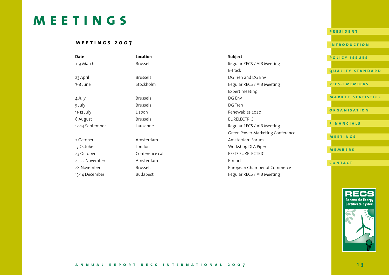## <span id="page-12-0"></span>**meetings**

#### **meetings 2007**

| Date            | Location        | Subject                          | <b>POLICY ISSUES</b>     |
|-----------------|-----------------|----------------------------------|--------------------------|
| 7-9 March       | <b>Brussels</b> | Regular RECS / AIB Meeting       |                          |
|                 |                 | E-Track                          | <b>OUALITY STANDARD</b>  |
| 23 April        | <b>Brussels</b> | DG Tren and DG Env               |                          |
| 7-8 June        | Stockholm       | Regular RECS / AIB Meeting       | <b>RECS-I MEMBERS</b>    |
|                 |                 | Expert meeting                   |                          |
| 4 July          | <b>Brussels</b> | DG Env                           | <b>MARKET STATISTICS</b> |
| 5 July          | <b>Brussels</b> | DG Tren                          |                          |
| 11-12 July      | Lisbon          | Renewables 2020                  | <b>ORGANISATION</b>      |
| 8 August        | <b>Brussels</b> | <b>EURELECTRIC</b>               |                          |
| 12-14 September | Lausanne        | Regular RECS / AIB Meeting       | <b>FINANCIALS</b>        |
|                 |                 | Green Power Marketing Conference |                          |
| 2 October       | Amsterdam       | Amsterdam Forum                  | <b>MEETINGS</b>          |
| 17 October      | London          | Workshop DLA Piper               | <b>MEMBERS</b>           |
| 23 October      | Conference call | EFET/ EURELECTRIC                |                          |
| 21-22 November  | Amsterdam       | E-mart                           | CONTACT                  |
| 28 November     | <b>Brussels</b> | European Chamber of Commerce     |                          |
| 13-14 December  | Budapest        | Regular RECS / AIB Meeting       |                          |



**[president](#page-1-0)**

**[introduction](#page-2-0)**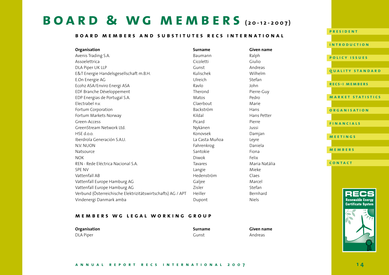### <span id="page-13-0"></span>**board & wg members (20-12-2007)**

#### **board members and substitutes recs international**

**Organisation Surname Given name** Avenis Trading S.A. **Baumann** Ralph Ralph Ralph Ralph Assoelettrica Cicoletti Giulio DLA Piper UK LLP Gunst Andreas Cumstand Andreas Cumstand Andreas Andreas Cumstand Andreas Andreas Cumstand Andreas E&T Energie Handelsgesellschaft m.B.H. Kulischek Kulischek Wilhelm E.On Energie AG Ulreich Stefan Ecohz ASA/Enviro Energi ASA Ravlo John EDF Branche Développement Therond Pierre-Guy EDP Energias de Portugal S.A. Comparent est anno 1920 a Matos Pedro Pedro Electrabel n.v. Claerbout Marie Fortum Corporation **Example 2018** Backström Backström Hans Fortum Markets Norway Kildal Hans Petter Green-Access Picard Pierre GreenStream Network Ltd. Network and American Street Australian Mykänen Mykänen Mykänen Jussi HSE d.o.o. Konovsek Damjan Iberdrola Generación S.A.U. La Casta Muñoa Leyre N.V. NUON Fahrenkrog Daniela Daniela Bahrenkrog and Daniela Daniela Bahrenkrog bahrenkrog bahrenkrog bahrenkro Natsource Santokie Fiona NOK Diwok Felix REN - Rede Eléctrica Nacional S.A. Tavares Tavares Maria Natália SPE NV Langie Mieke Vattenfall AB Hedenström Claes Vattenfall Europe Hamburg AG Galjee Galjee Galjee Marcel Vattenfall Europe Hamburg AG **Zisler** Zisler Stefan Verbund (Österreichische Elektrizitätswirtschafts) AG / APT Heiller Bernhard Vindenergi Danmark amba Nashrida Niels and Dupont Niels Niels





#### **members wg legal working group**

DLA Piper Gunst Andreas

**Organisation Surname Given name**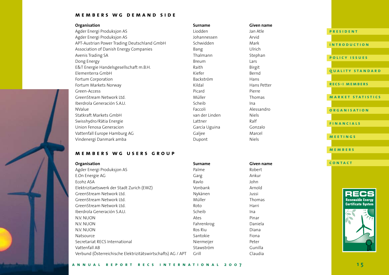#### **members wg demand side**

#### **Organisation Given name Given name Given name Given name**

Agder Energi Produksjon AS and Atle and Atlantic Liodden Agder Energi Produksjon AS Johannessen APT-Austrian Power Trading Deutschland GmbH Schwidden Association of Danish Energy Companies **Bang** Bang Avenis Trading SA Thalmann Stephan Stephan Stephan Stephan Stephan Stephan Stephan Stephan Stephan Stephan Stephan Dong Energy Breum Larsen and the Breum Larsen Breum Breum E&T Energie Handelsgesellschaft m.B.H. Birgitte Baith Elementerra GmbH<br>Fortum Cornoration Fortum Bernder Bernder Bernder Bernder Bernder Bernder Bernder Bernder Bernder Bernder Ber<br>Bernder Bernder Bernder Bernder Bernder Bernder Bernder Bernder Bernder Bernder Bernder Bernder Fortum Corporation Fortum Markets Norway **Example 20** Kildal Kildal Hans Petter Green-Access Picard Pierre GreenStream Network Ltd. Müller Thomas Müller Iberdrola Generación S.A.U. Charles en el superficiencia en el superficiencia en el superficiencia en el super NValue Faccoli Alessandro Statkraft Markets GmbH van der Linden Swisshydro/Rätia Energie Lattner Lattner Union Fenosa Generacion García Uguina Vattenfall Europe Hamburg AG Galjee Vindenergi Danmark amba di naman na bupont Nindenergi Danmark amba

#### **members wg users group**

| Organisation                                                | Surname    | <b>Given name</b> |
|-------------------------------------------------------------|------------|-------------------|
| Agder Energi Produksjon AS                                  | Palme      | Robert            |
| E.On Energie AG                                             | Garg       | Ankur             |
| Ecohz ASA                                                   | Ravlo      | John              |
| Elektrizitaetswerk der Stadt Zurich (EWZ)                   | Vonbank    | Arnold            |
| GreenStream Network Ltd.                                    | Nykänen    | Jussi             |
| GreenStream Network Ltd.                                    | Müller     | Thomas            |
| GreenStream Network Ltd.                                    | Roto       | Harri             |
| Iberdrola Generación S.A.U.                                 | Scheib     | Ina               |
| N.V. NUON                                                   | Ates       | Pinar             |
| N.V. NUON                                                   | Fahrenkrog | Daniela           |
| N.V. NUON                                                   | Ros Riu    | Diana             |
| Natsource                                                   | Santokie   | Fiona             |
| Secretariat RECS International                              | Niermeijer | Peter             |
| Vattenfall AB                                               | Stawström  | Gunilla           |
| Verbund (Österreichische Elektrizitätswirtschafts) AG / APT | Grill      | Claudia           |

| .        |
|----------|
| Jan Atle |
| Arvid    |
| Mark     |
| Ulrich   |
| Stephar  |
| Lars     |
| Birgit   |
| Bernd    |
| Hans     |
| Hans Pe  |
| Pierre   |
| Thomas   |
| Ina      |
| Alessan  |
| Niels    |
| Ralf     |
| Gonzalo  |
| Marcel   |
| Niels    |
|          |

| Given name |  |
|------------|--|
| Robert     |  |
| Ankur      |  |
| John       |  |
| Arnold     |  |
| Jussi      |  |
| Thomas     |  |
| Harri      |  |
| Ina        |  |
| Pinar      |  |
| Daniela    |  |
| Diana      |  |
| Fiona      |  |
| Peter      |  |
| Gunilla    |  |
| Claudia    |  |

| <b>PRESIDENT</b>         |
|--------------------------|
|                          |
| <b>INTRODUCTION</b>      |
|                          |
| <b>POLICY ISSUES</b>     |
|                          |
| <b>OUALITY STANDARD</b>  |
|                          |
| <b>RECS-I MEMBERS</b>    |
|                          |
| <b>MARKET STATISTICS</b> |
|                          |
| <b>ORGANISATION</b>      |
|                          |
| <b>FINANCIALS</b>        |
|                          |
| <b>MEETINGS</b>          |
|                          |
| <b>MEMBERS</b>           |
|                          |
| CONTACT                  |
|                          |